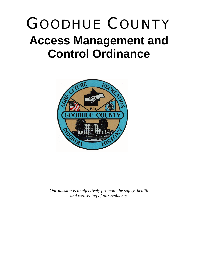# GOODHUE COUNTY **Access Management and Control Ordinance**



*Our mission is to effectively promote the safety, health and well-being of our residents.*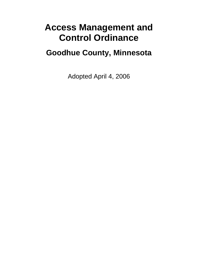## **Access Management and Control Ordinance**

### **Goodhue County, Minnesota**

Adopted April 4, 2006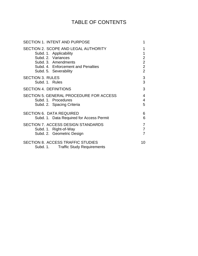### TABLE OF CONTENTS

| <b>SECTION 1. INTENT AND PURPOSE</b>                                            | 1              |
|---------------------------------------------------------------------------------|----------------|
| SECTION 2. SCOPE AND LEGAL AUTHORITY                                            | 1              |
| Subd. 1. Applicability                                                          | 1              |
| Subd. 2. Variances                                                              | $\overline{2}$ |
| Subd. 3. Amendments                                                             | $\overline{2}$ |
| Subd. 4. Enforcement and Penalties                                              | $\overline{2}$ |
| Subd. 5. Severability                                                           | $\overline{2}$ |
| <b>SECTION 3. RULES</b>                                                         | 3              |
| Subd. 1. Rules                                                                  | 3              |
| <b>SECTION 4. DEFINITIONS</b>                                                   | 3              |
| SECTION 5. GENERAL PROCEDURE FOR ACCESS                                         | 4              |
| Subd. 1. Procedures                                                             | 4              |
| Subd. 2. Spacing Criteria                                                       | 5              |
| <b>SECTION 6. DATA REQUIRED</b>                                                 | 6              |
| Subd. 1. Data Required for Access Permit                                        | 6              |
| SECTION 7. ACCESS DESIGN STANDARDS                                              | 7              |
| Subd. 1. Right-of-Way                                                           | $\overline{7}$ |
| Subd. 2. Geometric Design                                                       | 7              |
| <b>SECTION 8. ACCESS TRAFFIC STUDIES</b><br>Subd. 1. Traffic Study Requirements | 10             |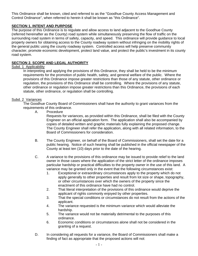This Ordinance shall be known, cited and referred to as the "Goodhue County Access Management and Control Ordinance", when referred to herein it shall be known as "this Ordinance".

#### **SECTION 1. INTENT AND PURPOSE**

The purpose of this Ordinance is to regulate and allow access to land adjacent to the Goodhue County (referred hereinafter as the County) road system while simultaneously preserving the flow of traffic on the surrounding road system in terms of safety, capacity, and speed. This ordinance will provide guidance to local property owners for obtaining access to the County roadway system without infringing on the mobility rights of the general public using the county roadway system. Controlled access will help preserve community character, promote economic development, protect land value, and protect the public's investment in its county road system.

#### **SECTION 2. SCOPE AND LEGAL AUTHORITY**

#### Subd. 1 Applicability

In interpreting and applying the provisions of this Ordinance, they shall be held to be the minimum requirements for the promotion of public health, safety, and general welfare of the public. Where the provisions of this Ordinance impose greater restrictions than those of any statute, other ordinance or regulation, the provisions of this Ordinance shall be controlling. Where the provisions of any statute, other ordinance or regulation impose greater restrictions than this Ordinance, the provisions of each statute, other ordinance, or regulation shall be controlling.

#### Subd. 2 Variances

The Goodhue County Board of Commissioners shall have the authority to grant variances from the requirements of this ordinance.

A. Procedure

Requests for variances, as provided within this Ordinance, shall be filed with the County Engineer on an official application form. The application shall also be accompanied by copies of detailed written and graphic materials fully explaining the proposed change. The County Engineer shall refer the application, along with all related information, to the Board of Commissioners for consideration.

- B. The County Engineer, on behalf of the Board of Commissioners, shall set the date for a public hearing. Notice of such hearing shall be published in the official newspaper of the County at least ten (10) days prior to the date of the hearing.
- C. A variance to the provisions of this ordinance may be issued to provide relief to the land owner in those cases where the application of the strict letter of the ordinance imposes particular hardship or practical difficulties to the property owner in the use of this land. A variance may be granted only in the event that the following circumstances exist:
	- 1. Exceptional or extraordinary circumstances apply to the property which do not apply generally to other properties and result from lot size or shape, topography, or other circumstances over which the owners of the property since the enactment of this ordinance have had no control.
	- 2. That literal interpretation of the provisions of this ordinance would deprive the applicant of rights commonly enjoyed by other properties.
	- 3. That the special conditions or circumstances do not result from the actions of the applicant.
	- 4. The variance requested is the minimum variance which would alleviate the hardship.
	- 5. The variance would not be materially detrimental to the purposes of this ordinance.
	- 6. Economic conditions or circumstances alone shall not be considered in the granting of a request.
- D. In considering all requests for a variance, the Board of Commissioners shall make a finding of fact as appropriate that the proposed actions will not: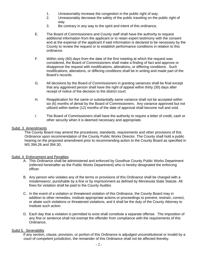- 1. Unreasonably increase the congestion in the public right of way.
- 2. Unreasonably decrease the safety of the public traveling on the public right of way.
- 3. Be contrary in any way to the spirit and intent of this ordinance.
- E. The Board of Commissioners and County staff shall have the authority to request additional information from the applicant or to retain expert testimony with the consent and at the expense of the applicant if said information is declared to be necessary by the County to review the request or to establish performance conditions in relation to this ordinance.
- F. Within sixty (60) days from the date of the first meeting at which the request was considered, the Board of Commissioners shall make a finding of fact and approve or disapprove the request with modifications, alterations, or differing conditions. Such modifications, alterations, or differing conditions shall be in writing and made part of the Board's records.
- G. All decisions by the Board of Commissioners in granting variances shall be final except that any aggrieved person shall have the right of appeal within thirty (30) days after receipt of notice of the decision to the district court.
- H. Reapplication for the same or substantially same variance shall not be accepted within six (6) months of denial by the Board of Commissioners. Any variance approved but not utilized within twelve (12) months of the date of approval shall become null and void.
- I. The Board of Commissioners shall have the authority to require a letter of credit, cash or other security when it is deemed necessary and appropriate.

#### Subd. 3 Amendments

The County Board may amend the procedures, standards, requirements and other provisions of this Ordinance upon recommendation of the County Public Works Director. The County shall hold a public hearing on the proposed amendment prior to recommending action to the County Board as specified in MS 394.26 and 394.30.

#### Subd. 4 Enforcement and Penalties

- A. This Ordinance shall be administered and enforced by Goodhue County Public Works Department (referred hereinafter as the Public Works Department) who is hereby designated the enforcing officer.
- B. Any person who violates any of the terms or provisions of this Ordinance shall be charged with a misdemeanor, punishable by a fine or by imprisonment as defined by Minnesota State Statute. All fines for violation shall be paid to the County Auditor.
- C. In the event of a violation or threatened violation of this Ordinance, the County Board may in addition to other remedies, institute appropriate actions or proceedings to prevent, restrain, correct, or abate such violations or threatened violations, and it shall be the duty of the County Attorney to institute such action.
- D. Each day that a violation is permitted to exist shall constitute a separate offense. The imposition of any fine or sentence shall not exempt the offender from compliance with the requirements of this Ordinance.

#### Subd 5. Severability

If any section, clause, provision, or portion of this Ordinance is adjudged unconstitutional or invalid by a court of competent jurisdiction, the remainder of this Ordinance shall not be affected thereby.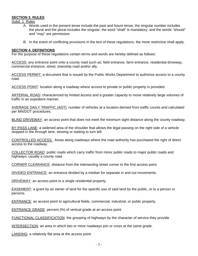#### **SECTION 3. RULES**

Subd. 1 Rules

- A. Words used in the present tense include the past and future tense; the singular number includes the plural and the plural includes the singular; the word "shall" is mandatory, and the words "should" and "may" are permissive.
- B. In the event of conflicting provisions in the text of these regulations, the more restrictive shall apply.

#### **SECTION 4. DEFINITIONS**

For the purpose of these regulations certain terms and words are hereby defined as follows:

ACCESS: any entrance point onto a county road such as: field entrance, farm entrance, residential driveway, commercial entrance, street, township road and/or ally.

ACCESS PERMIT: a document that is issued by the Public Works Department to authorize access to a county road.

ACCESS POINT: location along a roadway where access to private or public property is provided.

ARTERIAL ROAD: characterized by limited access and a greater capacity to move relatively large volumes of traffic in an expedient manner.

AVERAGE DAILY TRAFFIC (ADT): number of vehicles at a location derived from traffic counts and calculated per MN/DOT procedures.

BLIND DRIVEWAY: an access point that does not meet the minimum sight distance along the county roadway.

BY-PASS LANE: a widened area of the shoulder that allows the legal passing on the right side of a vehicle stopped in the through lane, slowing or waiting to turn left.

CONTROLLED ACCESS: Areas along roadways where the road authority has purchased the right of direct access to the roadway.

COLLECTOR ROAD: public roads which carry traffic from minor public roads to major public roads and highways; usually a county road.

CORNER CLEARANCE: distance from the intersecting street corner to the first access point.

DIVIDED ENTRANCE: an entrance divided by a median for separate in and out movements.

DRIVEWAY: an access point to a single residential property.

EASEMENT: a grant by an owner of land for the specific use of said land by the public, or to a person or persons.

ENTRANCE: an access point to agricultural fields, commercial, industrial, or public property.

ENTRANCE GRADE: percent (%) of vertical grade at an access point.

FUNCTIONAL CLASSIFICATION: the grouping of highways by the character of service they provide

INTERSECTION: an area in which two or more roadways join or cross at the same grade.

LANDING: a relatively flat area at the access point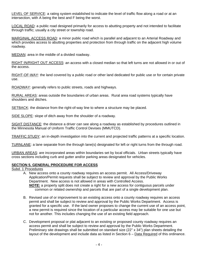LEVEL OF SERVICE: a rating system established to indicate the level of traffic flow along a road or at an intersection, with A being the best and F being the worst.

LOCAL ROAD: a public road designed primarily for access to abutting property and not intended to facilitate through traffic; usually a city street or township road.

MARGINAL ACCESS ROAD: a minor public road which is parallel and adjacent to an Arterial Roadway and which provides access to abutting properties and protection from through traffic on the adjacent high volume roadway.

MEDIAN: area in the middle of a divided roadway.

RIGHT IN/RIGHT OUT ACCESS: an access with a closed median so that left turns are not allowed in or out of the access.

RIGHT-OF-WAY: the land covered by a public road or other land dedicated for public use or for certain private use.

ROADWAY: generally refers to public streets, roads and highways.

RURAL AREAS: areas outside the boundaries of urban areas. Rural area road systems typically have shoulders and ditches.

SETBACK: the distance from the right-of-way line to where a structure may be placed.

SIDE SLOPE: slope of ditch away from the shoulder of a roadway.

SIGHT DISTANCE: the distance a driver can see along a roadway as established by procedures outlined in the Minnesota Manual of Uniform Traffic Control Devises (MMUTCD).

TRAFFIC STUDY: an in-depth investigation into the current and projected traffic patterns at a specific location.

TURNLANE: a lane separate from the through lane(s) designated for left or right turns from the through road.

URBAN AREAS: are incorporated areas within boundaries set by local officials. Urban streets typically have cross sections including curb and gutter and/or parking areas designated for vehicles.

#### **SECTION 5. GENERAL PROCEDURE FOR ACCESS**

Subd. 1 Procedures

- A. New access onto a county roadway requires an access permit. All Access/Driveway Application/Permit requests shall be subject to review and approval by the Public Works Department. New access is not allowed in areas with Controlled Access. *NOTE:* a property split does not create a right for a new access for contiguous parcels under common or related ownership and parcels that are part of a single development plan.
- B. Revised use of or improvement to an existing access onto a county roadway requires an access permit and shall be subject to review and approval by the Public Works Department. Access is granted for a specific use. If the land owner proposes to change the current use of an access point, a new permit is required since the location of a particular access may be suitable for one use but not for another. This includes changing the use of an existing field approach.
- C. Development proposal or plat adjacent to an existing or proposed county roadway requires an access permit and shall be subject to review and approval by the Public Works Department. Preliminary site drawings shall be submitted on standard size (22" x 34") plan sheets detailing the layout of the development and include data as listed in Section 6 – Data Required of this ordinance.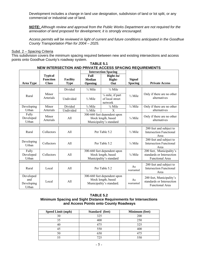Development includes a change in land use designation, subdivision of land or lot split, or any commercial or industrial use of land.

*NOTE: Although review and approval from the Public Works Department are not required for the annexation of land proposed for development, it is strongly encouraged.* 

*Access permits will be reviewed in light of current and future conditions anticipated in the Goodhue County Transportation Plan for 2004 – 2025.* 

#### Subd. 2 – Spacing Criteria

This subdivision covers the minimum spacing required between new and existing intersections and access points onto Goodhue County's roadway system.

|                                         |                    |                 |                                                                                | <b>Intersection Spacing</b>                     |                                                           |                                                                                 |  |
|-----------------------------------------|--------------------|-----------------|--------------------------------------------------------------------------------|-------------------------------------------------|-----------------------------------------------------------|---------------------------------------------------------------------------------|--|
|                                         | <b>Typical</b>     |                 | Full                                                                           | Right-In/                                       |                                                           |                                                                                 |  |
|                                         | <b>Function</b>    | <b>Facility</b> | <b>Median</b>                                                                  | Right-                                          | <b>Signal</b>                                             |                                                                                 |  |
| <b>Area Type</b>                        | <b>Class</b>       | <b>Type</b>     | Opening                                                                        | Out                                             | <b>Spacing</b>                                            | <b>Private Access</b>                                                           |  |
|                                         |                    | Divided         | $\frac{1}{2}$ Mile                                                             | $\frac{1}{4}$ Mile                              |                                                           |                                                                                 |  |
| Rural                                   | Minor<br>Arterials | Undivided       | $\frac{1}{2}$ Mile                                                             | 1/4 mile, if part<br>of local street<br>network | $\frac{1}{2}$ Mile                                        | Only if there are no other<br>alternatives                                      |  |
| Developing                              | Minor              | Divided         | $\frac{1}{4}$ Mile                                                             | $\frac{1}{8}$ Mile                              | $\frac{1}{4}$ Mile                                        | Only if there are no other                                                      |  |
| Urban                                   | Arterials          | Undivided       | $\frac{1}{4}$ Mile                                                             | X                                               |                                                           | alternatives                                                                    |  |
| Fully<br>Developed<br>Urban             | Minor<br>Arterials | All             | 300-660 feet dependent upon<br>block length, based<br>Municipality's standard  |                                                 | $\frac{1}{4}$ Mile                                        | Only if there are no other<br>alternatives                                      |  |
|                                         |                    |                 |                                                                                |                                                 |                                                           |                                                                                 |  |
| Rural                                   | Collectors         | A11             | Per Table 5.2                                                                  |                                                 | $\frac{1}{2}$ Mile                                        | 200 feet and subject to<br><b>Intersection Functional</b><br>Area               |  |
| Developing<br>Urban                     | Collectors         | All             | Per Table 5.2                                                                  |                                                 | $\frac{1}{4}$ Mile                                        | 200 feet and subject to<br><b>Intersection Functional</b><br>Area               |  |
| Fully<br>Developed<br>Urban             | Collectors         | All             | 300-660 feet dependent upon<br>block length, based<br>Municipality's standard  |                                                 | $\frac{1}{8}$ Mile                                        | 200 feet, Municipality's<br>standards or Intersection<br>Functional Area        |  |
|                                         |                    |                 |                                                                                |                                                 |                                                           | 200 feet and subject to                                                         |  |
| Rural                                   | Local              | A11             | Per Table 5.2                                                                  |                                                 | As<br><b>Intersection Functional</b><br>warranted<br>Area |                                                                                 |  |
| Developed<br>and<br>Developing<br>Urban | Local              | All             | 300-660 feet dependent upon<br>block length, based<br>Municipality's standard. |                                                 | As<br>warranted                                           | 200 feet, Municipality's<br>standards or Intersection<br><b>Functional Area</b> |  |

#### **TABLE 5.1 NEW INTERSECTION AND PRIVATE ACCESS SPACING REQUIREMENTS**

#### **TABLE 5.2**

#### **Minimum Spacing and Sight Distance Requirements for Intersections and Access Points onto County Roadways**

| <b>Speed Limit (mph)</b> | Standard (feet) | Minimum (feet) |
|--------------------------|-----------------|----------------|
| 30                       | 325             | 200            |
| 35                       | 400             | 250            |
| 40                       | 475             | 325            |
| 45                       | 550             | 400            |
| 50                       | 650             | 475            |
| 55                       | 725             | 550            |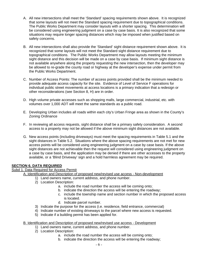- A. All new intersections shall meet the 'Standard' spacing requirements shown above. It is recognized that some layouts will not meet the Standard spacing requirement due to topographical conditions. The Public Works Department may consider layouts with a shorter spacing. This determination will be considered using engineering judgment on a case by case basis. It is also recognized that some situations may require longer spacing distances which may be imposed when justified based on safety concerns.
- B. All new intersections shall also provide the 'Standard' sight distance requirement shown above. It is recognized that some layouts will not meet the Standard sight distance requirement due to topographical conditions. The Public Works Department may allow layouts meeting the minimum sight distance and this decision will be made on a case by case basis. If minimum sight distance is not available anywhere along the property requesting the new intersection, then the developer may be allowed to re-grade the county road or highway at the developer's expense under permit from the Public Works Department.
- C. Number of Access Points: The number of access points provided shall be the minimum needed to provide adequate access capacity for the site. Evidence of Level of Service F operations for individual public street movements at access locations is a primary indication that a redesign or other reconsiderations (see Section 8, H) are in order.
- D. High volume private accesses such as shopping malls, large commercial, industrial, etc. with volumes over 1,000 ADT will meet the same standards as a public road.
- E. Developing Urban includes all roads within each city's Urban Fringe area as shown in the County's Zoning Ordinance
- F. In reviewing all access requests, sight distance shall be a primary safety consideration. A second access to a property may not be allowed if the above minimum sight distances are not available.
- G. New access points (including driveways) must meet the spacing requirements in Table 5.1 and the sight distances in Table 5.2. Situations where the above spacing requirements are not met for new access points will be considered using engineering judgment on a case by case basis. If the above sight distances are not achievable then the request will considered using engineering judgment on a case by case basis, and the application may be denied if there are other accesses to the property available, or a 'Blind Driveway' sign and a hold harmless agreement may be required.

#### **SECTION 6. DATA REQUIRED**

#### Subd 1. Data Required for Access Permit

A. Identification and Description of proposed new/revised use access - Non-development

- 1) Land owners name, current address, and phone number.
- 2) Location Description:
	- a. include the road number the access will be coming onto;
	- b. indicate the direction the access will be entering the roadway;
	- c. include the township name and section number in which the proposed access is located.
	- d. Indicate parcel number.
- 3) Indicate the purpose for the access (i.e. residence, field entrance, commercial)
- 4) Indicate number of existing driveways to the parcel where new access is requested.
- 5) Indicate if a building permit has been applied for.

#### B. Identification and Description of proposed new/revised use access - Development

- 1) Land owners name, current address, and phone number.
- 2) Location Description:
	- a. include the road number the access will be coming onto;
	- b. indicate the direction the access will be entering the roadway;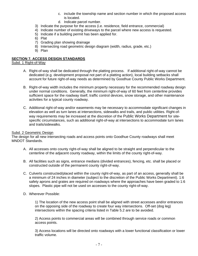- c. include the township name and section number in which the proposed access is located.
- d. Indicate parcel number.
- 3) Indicate the purpose for the access (i.e. residence, field entrance, commercial)
- 4) Indicate number of existing driveways to the parcel where new access is requested.
- 5) Indicate if a building permit has been applied for.
- 6) Plat
- 7) Grading plan showing drainage
- 8) Intersecting road geometric design diagram (width, radius, grade, etc.)
- 9) Plan

#### **SECTION 7. ACCESS DESIGN STANDARDS**

- Subd. 1 Right-of-Way
	- A. Right-of-way shall be dedicated through the platting process. If additional right-of-way cannot be dedicated (e.g. development proposal not part of a platting action), local building setbacks shall account for future right-of-way needs as determined by Goodhue County Public Works Department.
	- B. Right-of-way width includes the minimum property necessary for the recommended roadway design under normal conditions. Generally, the minimum right-of-way of 60 feet from centerline provides sufficient space for the roadway itself, traffic control devices, snow storage, and other maintenance activities for a typical county roadway.
	- C. Additional right-of-way and/or easements may be necessary to accommodate significant changes in elevation as well as turn lanes at intersections, sidewalks and trails, and public utilities. Right-ofway requirements may be increased at the discretion of the Public Works Department for sitespecific circumstances, such as additional right-of-way at intersections to accommodate turn lanes and trails/sidewalks.

#### Subd. 2 Geometric Design

The design for all new intersecting roads and access points onto Goodhue County roadways shall meet MNDOT Standards.

- A. All accesses onto county right-of-way shall be aligned to be straight and perpendicular to the centerline of the adjacent county roadway, within the limits of the county right-of-way.
- B. All facilities such as signs, entrance medians (divided entrances), fencing, etc. shall be placed or constructed outside of the permanent county right-of-way.
- C. Culverts constructed/placed within the county right-of-way, as part of an access, generally shall be a minimum of 24 inches in diameter (subject to the discretion of the Public Works Department). 1:6 safety aprons and grates are required on roadways where the approaches have been graded to 1:6 slopes. Plastic pipe will not be used on accesses to the county right-of-way.
- D. Wherever Possible:

1) The location of the new access point shall be aligned with street accesses and/or entrances on the opposing side of the roadway to create four way intersections. Off-set (dog leg) intersections within the spacing criteria listed in Table 5.2 are to be avoided.

2) Access points to commercial areas will be combined through service roads or common access points.

3) Access locations will be directed onto roadways with a lower functional classification or lower traffic volume.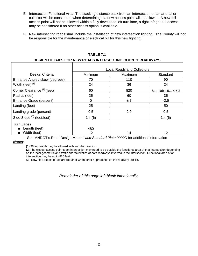- E. Intersection Functional Area: The stacking distance back from an intersection on an arterial or collector will be considered when determining if a new access point will be allowed. A new full access point will not be allowed within a fully developed left turn lane, a right in/right out access may be considered if no other access option is available.
- F. New intersecting roads shall include the installation of new intersection lighting. The County will not be responsible for the maintenance or electrical bill for this new lighting.

|                                                             | <b>Local Roads and Collectors</b> |         |                     |  |  |
|-------------------------------------------------------------|-----------------------------------|---------|---------------------|--|--|
| Design Criteria                                             | Minimum                           | Maximum | Standard            |  |  |
| Entrance Angle / skew (degrees)                             | 70                                | 110     | 90                  |  |  |
| Width (feet) $(1)$                                          | 24                                | 36      | 24                  |  |  |
| Corner Clearance <sup>(2)</sup> (feet)                      | 60                                | 820     | See Table 5.1 & 5.2 |  |  |
| Radius (feet)                                               | 25                                | 60      | 35                  |  |  |
| Entrance Grade (percent)                                    | 0                                 | ±7      | $-2.5$              |  |  |
| Landing (feet)                                              | 25                                |         | 50                  |  |  |
| Landing grade (percent)                                     | 0.5                               | 2.0     | 0.5                 |  |  |
| Side Slope <sup>(3)</sup> (feet:feet)                       | 1:4(6)                            |         | 1:4(6)              |  |  |
| <b>Turn Lanes</b><br><b>E</b> Length (feet)<br>Width (feet) | 480<br>12                         | 14      | 12                  |  |  |

#### **TABLE 7.1**

#### **DESIGN DETAILS FOR NEW ROADS INTERSECTING COUNTY ROADWAYS**

See MNDOT's Road Design Manual *and Standard Plate 9000D* for additional information

#### *Notes*:

**(1)** 36 foot width may be allowed with an urban section.

**(2)** The closest access point to an intersection may need to be outside the functional area of that intersection depending on the local geometric and traffic characteristics of both roadways involved in the intersection. Functional area of an intersection may be up to 820 feet.

(3) New side slopes of 1:6 are required when other approaches on the roadway are 1:6

*Remainder of this page left blank intentionally.*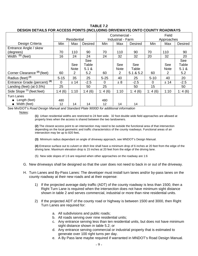#### **TABLE 7.2 DESIGN DETAILS FOR ACCESS POINTS (INCLUDING DRIVEWAYS) ONTO COUNTY ROADWAYS**

|                                         | <b>Residential</b> |             | Commercial -<br><b>Industrial - Farm</b> |          |             | Field<br>Approaches |          |             |                |
|-----------------------------------------|--------------------|-------------|------------------------------------------|----------|-------------|---------------------|----------|-------------|----------------|
| Design Criteria                         | Min                | Max         | <b>Desired</b>                           | Min      | Max         | <b>Desired</b>      | Min      | Max         | <b>Desired</b> |
| Entrance Angle / skew                   |                    |             |                                          |          |             |                     |          |             |                |
| (degrees)                               | 70                 | 110         | 90                                       | 70       | 110         | 90                  | 70       | 110         | 90             |
| Width $(1)$ (feet)                      | 16                 | 24          | 24                                       | 24       | 32          | 32                  | 20       | 32          | 20             |
|                                         |                    |             | See                                      |          |             |                     |          |             | See            |
|                                         |                    | See         | Table                                    |          | See         | See                 |          | See         | Table          |
|                                         |                    | <b>Note</b> | 5.1 &                                    |          | <b>Note</b> | Table               |          | <b>Note</b> | 5.1 &          |
| Corner Clearance <sup>(2)</sup> (feet)  | 60                 | 2           | 5.2                                      | 60       | 2           | 5.1 & 5.2           | 60       | 2           | 5.2            |
| Radius (feet) <sup>(3)</sup>            | $5 - 15$           | 35          | 25                                       | $5 - 25$ | 40          | 25                  | $5 - 10$ | 40          | 20             |
| Entrance Grade (percent) <sup>(4)</sup> | 0                  | ±14         | $-2.5$                                   | $\Omega$ | ± 8         | $-2.5$              | 0        | ± 14        | $-2.5$         |
| Landing (feet) (at $0.5\%$ )            | 25                 |             | 50                                       | 25       |             | 50                  | 15       |             | 50             |
| Side Slope <sup>(5)</sup> (feet:feet)   | 1:4(6)             | 1:10        | 1:4(6)                                   | 1: 4(6)  | 1:10        | 1:4(6)              | 1:4(6)   | 1:10        | 1:4(6)         |
| Turn Lanes                              |                    |             |                                          |          |             |                     |          |             |                |
| Length (feet)                           | 480                |             |                                          | 480      |             |                     |          |             |                |
| Width (feet)                            | 12                 | 14          | 14                                       | 12       | 14          | 14                  |          |             |                |

See Mn/DOT's *Road Design Manual and Standard Plate 9000D for additional information*

Notes:

**(1)** Urban residential widths are restricted to 24 feet wide. 32 foot double wide field approaches are allowed at property lines when the access is shared between the two landowners.

**(2)** The closest access point to an intersection may need to be outside the functional area of that intersection depending on the local geometric and traffic characteristics of the county roadways. Functional areas of an intersection may be up to 820 feet**.** 

**(3)** Minimum radius dependant on angle of driveway approach, see MNDOT's Design Manual.

**(4)** Entrance surface out to culvert or ditch line shall have a minimum drop of 6 inches at 20 feet from the edge of the driving lane. Maximum elevation drop is 15 inches at 20 feet from the edge of the driving lane.

(5) New side slopes of 1:6 are required when other approaches on the roadway are 1:6

- G. New driveways shall be designed so that the user does not need to back in or out of the driveway.
- H. Turn Lanes and By-Pass Lanes: The developer must install turn lanes and/or by-pass lanes on the county roadway at their new roads and at their expense:
	- 1) If the projected average daily traffic (ADT) of the county roadway is less than 1500, then a Right Turn Lane is required when the intersection does not have minimum sight distance shown in table 2 and serves commercial, industrial or more than nine residential units.
	- 2) If the projected ADT of the county road or highway is between 1500 and 3000, then Right Turn Lanes are required for:
		- a. All subdivisions and public roads;
		- b. All roads serving over nine residential units;
		- c. Any entrance serving less than ten residential units, but does not have minimum sight distance shown in table 5.2; or
		- d. Any entrance serving commercial or industrial property that is estimated to generate over 100 right turns per day.
		- e. A By Pass lane maybe required if warranted in MNDOT's Road Design Manual.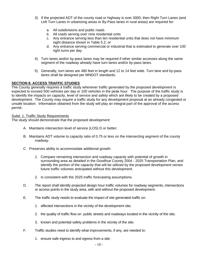- 3) If the projected ADT of the county road or highway is over 3000, then Right Turn Lanes (and Left Turn Lanes in urbanizing areas or By-Pass lanes in rural areas) are required for:
	- a. All subdivisions and public roads
	- b. All roads serving over nine residential units
	- c. Any entrance serving less than ten residential units that does not have minimum sight distance shown in Table 5.2, or
	- d. Any entrance serving commercial or industrial that is estimated to generate over 100 right turns per day
- 4) Turn lanes and/or by-pass lanes may be required if other similar accesses along the same segment of the roadway already have turn lanes and/or by-pass lanes.
- 5) Generally, turn lanes are 480 feet in length and 12 to 14 feet wide. Turn lane and by-pass lanes shall be designed per MNDOT standards.

#### **SECTION 8. ACCESS TRAFFIC STUDIES**

The County generally requires a traffic study whenever traffic generated by the proposed development is expected to exceed 500 vehicles per day or 100 vehicles in the peak hour. The purpose of the traffic study is to identify the impacts on capacity, level of service and safety which are likely to be created by a proposed development. The County may require a traffic study for any development proposal at an already congested or unsafe location. Information obtained from the study will play an integral part of the approval of the access permit.

#### Subd. 1. Traffic Study Requirements

The study should demonstrate that the proposed development:

- A. Maintains intersection level of service (LOS) D or better;
- B. Maintains ADT volume to capacity ratio of 0.75 or less on the intersecting segment of the county roadway.
- C. Preserves ability to accommodate additional growth:
	- 1. Compare remaining intersection and roadway capacity with potential of growth in surrounding area as detailed in the Goodhue County 2004 - 2025 Transportation Plan, and identify the portion of the capacity that will be utilized by the proposed development verses future traffic volumes anticipated without this development.
	- 2. Is consistent with the 2025 traffic forecasting assumptions.
- D. The report shall identify projected design hour traffic volumes for roadway segments, intersections or access points in the study area, with and without the proposed development.
- E. The traffic study needs to evaluate the impact of site generated traffic on:
	- 1. affected intersections in the vicinity of the development site;
	- 2. the quality of traffic flow on public streets and roadways located in the vicinity of the site;
	- 3. known and potential safety problems in the vicinity of the site;
- F. Traffic studies need to identify what improvements, if any, are needed to:
	- 1. ensure safe ingress to and egress from a site;